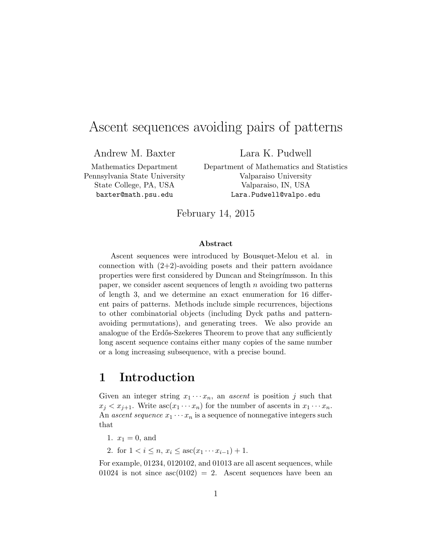# Ascent sequences avoiding pairs of patterns

Andrew M. Baxter

Lara K. Pudwell

Mathematics Department Pennsylvania State University State College, PA, USA baxter@math.psu.edu

Department of Mathematics and Statistics Valparaiso University Valparaiso, IN, USA Lara.Pudwell@valpo.edu

February 14, 2015

### Abstract

Ascent sequences were introduced by Bousquet-Melou et al. in connection with  $(2+2)$ -avoiding posets and their pattern avoidance properties were first considered by Duncan and Steingrímsson. In this paper, we consider ascent sequences of length  $n$  avoiding two patterns of length 3, and we determine an exact enumeration for 16 different pairs of patterns. Methods include simple recurrences, bijections to other combinatorial objects (including Dyck paths and patternavoiding permutations), and generating trees. We also provide an analogue of the Erdős-Szekeres Theorem to prove that any sufficiently long ascent sequence contains either many copies of the same number or a long increasing subsequence, with a precise bound.

## 1 Introduction

Given an integer string  $x_1 \cdots x_n$ , an *ascent* is position j such that  $x_i < x_{i+1}$ . Write  $asc(x_1 \cdots x_n)$  for the number of ascents in  $x_1 \cdots x_n$ . An ascent sequence  $x_1 \cdots x_n$  is a sequence of nonnegative integers such that

- 1.  $x_1 = 0$ , and
- 2. for  $1 < i \leq n$ ,  $x_i \leq \mathrm{asc}(x_1 \cdots x_{i-1}) + 1$ .

For example, 01234, 0120102, and 01013 are all ascent sequences, while 01024 is not since  $asc(0102) = 2$ . Ascent sequences have been an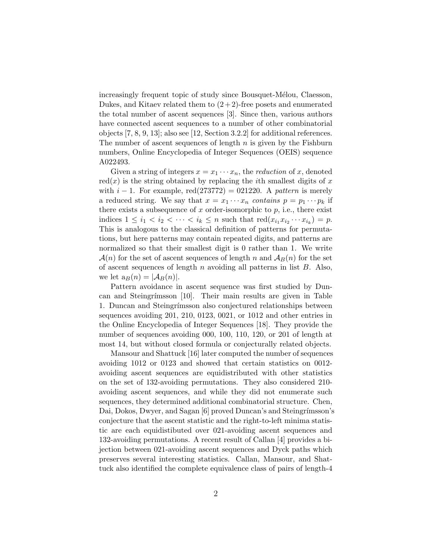increasingly frequent topic of study since Bousquet-Mélou, Claesson, Dukes, and Kitaev related them to  $(2+2)$ -free posets and enumerated the total number of ascent sequences [\[3\]](#page-27-0). Since then, various authors have connected ascent sequences to a number of other combinatorial objects [\[7,](#page-27-1) [8,](#page-27-2) [9,](#page-27-3) [13\]](#page-27-4); also see [\[12,](#page-27-5) Section 3.2.2] for additional references. The number of ascent sequences of length  $n$  is given by the Fishburn numbers, Online Encyclopedia of Integer Sequences (OEIS) sequence A022493.

Given a string of integers  $x = x_1 \cdots x_n$ , the *reduction* of x, denoted  $red(x)$  is the string obtained by replacing the *i*th smallest digits of x with  $i - 1$ . For example, red(273772) = 021220. A pattern is merely a reduced string. We say that  $x = x_1 \cdots x_n$  contains  $p = p_1 \cdots p_k$  if there exists a subsequence of  $x$  order-isomorphic to  $p$ , i.e., there exist indices  $1 \leq i_1 < i_2 < \cdots < i_k \leq n$  such that  $\text{red}(x_{i_1}x_{i_2}\cdots x_{i_k}) = p$ . This is analogous to the classical definition of patterns for permutations, but here patterns may contain repeated digits, and patterns are normalized so that their smallest digit is 0 rather than 1. We write  $\mathcal{A}(n)$  for the set of ascent sequences of length n and  $\mathcal{A}_B(n)$  for the set of ascent sequences of length  $n$  avoiding all patterns in list  $B$ . Also, we let  $a_B(n) = |A_B(n)|$ .

Pattern avoidance in ascent sequence was first studied by Dun-can and Steingrímsson [\[10\]](#page-27-6). Their main results are given in Table [1.](#page-2-0) Duncan and Steingr´ımsson also conjectured relationships between sequences avoiding 201, 210, 0123, 0021, or 1012 and other entries in the Online Encyclopedia of Integer Sequences [\[18\]](#page-28-0). They provide the number of sequences avoiding 000, 100, 110, 120, or 201 of length at most 14, but without closed formula or conjecturally related objects.

Mansour and Shattuck [\[16\]](#page-28-1) later computed the number of sequences avoiding 1012 or 0123 and showed that certain statistics on 0012 avoiding ascent sequences are equidistributed with other statistics on the set of 132-avoiding permutations. They also considered 210 avoiding ascent sequences, and while they did not enumerate such sequences, they determined additional combinatorial structure. Chen, Dai, Dokos, Dwyer, and Sagan [\[6\]](#page-27-7) proved Duncan's and Steingrímsson's conjecture that the ascent statistic and the right-to-left minima statistic are each equidistibuted over 021-avoiding ascent sequences and 132-avoiding permutations. A recent result of Callan [\[4\]](#page-27-8) provides a bijection between 021-avoiding ascent sequences and Dyck paths which preserves several interesting statistics. Callan, Mansour, and Shattuck also identified the complete equivalence class of pairs of length-4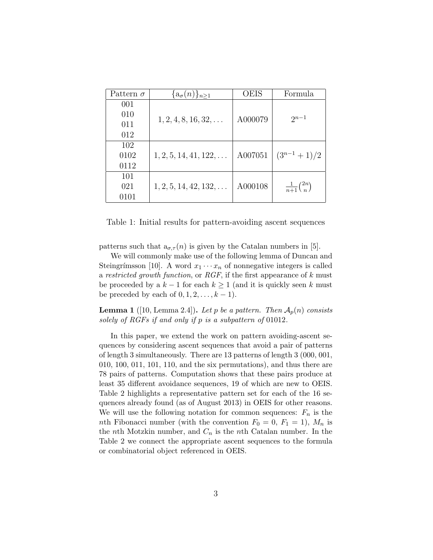| Pattern $\sigma$ | $\{a_{\sigma}(n)\}_{n\geq 1}$  | <b>OEIS</b> | Formula                      |  |
|------------------|--------------------------------|-------------|------------------------------|--|
| 001              |                                |             |                              |  |
| 010              | $1, 2, 4, 8, 16, 32, \ldots$   | A000079     | $2^{n-1}$                    |  |
| 011              |                                |             |                              |  |
| 012              |                                |             |                              |  |
| 102              |                                |             |                              |  |
| 0102             | $1, 2, 5, 14, 41, 122, \ldots$ | A007051     | $(3^{n-1}+1)/2$              |  |
| 0112             |                                |             |                              |  |
| 101              |                                |             |                              |  |
| 021              | $1, 2, 5, 14, 42, 132, \ldots$ | A000108     | $\frac{1}{n+1}\binom{2n}{n}$ |  |
| 0101             |                                |             |                              |  |

<span id="page-2-0"></span>Table 1: Initial results for pattern-avoiding ascent sequences

patterns such that  $a_{\sigma,\tau}(n)$  is given by the Catalan numbers in [\[5\]](#page-27-9).

We will commonly make use of the following lemma of Duncan and Steingrímsson [\[10\]](#page-27-6). A word  $x_1 \cdots x_n$  of nonnegative integers is called a restricted growth function, or RGF, if the first appearance of  $k$  must be proceeded by a  $k-1$  for each  $k \geq 1$  (and it is quickly seen k must be preceded by each of  $0, 1, 2, \ldots, k - 1$ .

<span id="page-2-1"></span>**Lemma 1** ([\[10,](#page-27-6) Lemma 2.4]). Let p be a pattern. Then  $\mathcal{A}_p(n)$  consists solely of RGFs if and only if p is a subpattern of 01012.

In this paper, we extend the work on pattern avoiding-ascent sequences by considering ascent sequences that avoid a pair of patterns of length 3 simultaneously. There are 13 patterns of length 3 (000, 001, 010, 100, 011, 101, 110, and the six permutations), and thus there are 78 pairs of patterns. Computation shows that these pairs produce at least 35 different avoidance sequences, 19 of which are new to OEIS. Table [2](#page-3-0) highlights a representative pattern set for each of the 16 sequences already found (as of August 2013) in OEIS for other reasons. We will use the following notation for common sequences:  $F_n$  is the nth Fibonacci number (with the convention  $F_0 = 0, F_1 = 1$ ),  $M_n$  is the *n*th Motzkin number, and  $C_n$  is the *n*th Catalan number. In the Table [2](#page-3-0) we connect the appropriate ascent sequences to the formula or combinatorial object referenced in OEIS.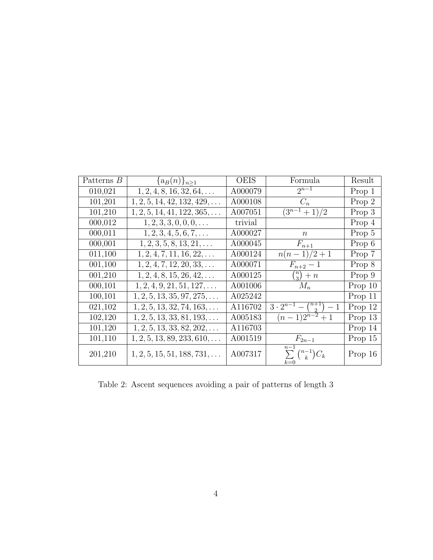| Patterns B | $\{a_B(n)\}_{n>1}$                  | <b>OEIS</b> | Formula                                          | Result  |
|------------|-------------------------------------|-------------|--------------------------------------------------|---------|
| 010,021    | $1, 2, 4, 8, 16, 32, 64, \ldots$    | A000079     | $2^{n-1}$                                        | Prop 1  |
| 101,201    | $1, 2, 5, 14, 42, 132, 429, \ldots$ | A000108     | $C_n$                                            | Prop 2  |
| 101,210    | $1, 2, 5, 14, 41, 122, 365, \ldots$ | A007051     | $\sqrt{(3^{n-1}+1)}/2$                           | Prop 3  |
| 000,012    | $1, 2, 3, 3, 0, 0, 0, \ldots$       | trivial     |                                                  | Prop 4  |
| 000,011    | $1, 2, 3, 4, 5, 6, 7, \ldots$       | A000027     | $\,n$                                            | Prop 5  |
| 000,001    | $1, 2, 3, 5, 8, 13, 21, \ldots$     | A000045     | $F_{n+1}$                                        | Prop 6  |
| 011,100    | $1, 2, 4, 7, 11, 16, 22, \ldots$    | A000124     | $\frac{n(n-1)}{2+1}$                             | Prop 7  |
| 001,100    | $1, 2, 4, 7, 12, 20, 33, \ldots$    | A000071     | $F_{n+2} - 1$                                    | Prop 8  |
| 001,210    | $1, 2, 4, 8, 15, 26, 42, \ldots$    | A000125     | $\binom{n}{3}+n$                                 | Prop 9  |
| 000,101    | $1, 2, 4, 9, 21, 51, 127, \ldots$   | A001006     | $M_n$                                            | Prop 10 |
| 100,101    | $1, 2, 5, 13, 35, 97, 275, \ldots$  | A025242     |                                                  | Prop 11 |
| 021,102    | $1, 2, 5, 13, 32, 74, 163, \ldots$  | A116702     | $\overline{3\cdot 2^{n-1}-\binom{n+1}{2}-1}$     | Prop 12 |
| 102,120    | $1, 2, 5, 13, 33, 81, 193, \ldots$  | A005183     | $(n-1)2^{n-2}+1$                                 | Prop 13 |
| 101,120    | $1, 2, 5, 13, 33, 82, 202, \ldots$  | A116703     |                                                  | Prop 14 |
| 101,110    | $1, 2, 5, 13, 89, 233, 610, \ldots$ | A001519     | $F_{2n-1}$                                       | Prop 15 |
| 201,210    | $1, 2, 5, 15, 51, 188, 731, \ldots$ | A007317     | $n-1$<br>$\sum_{k} {n-1 \choose k} C_k$<br>$k=0$ | Prop 16 |

<span id="page-3-0"></span>Table 2: Ascent sequences avoiding a pair of patterns of length 3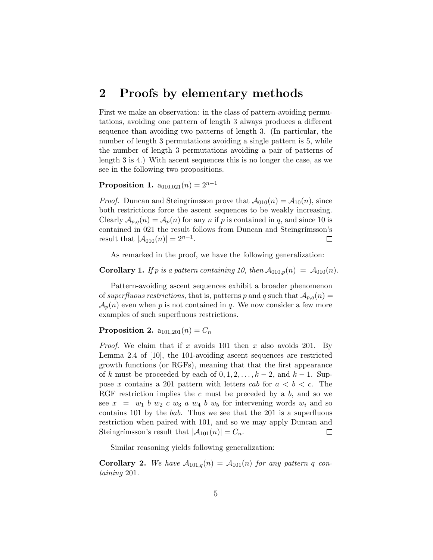## 2 Proofs by elementary methods

First we make an observation: in the class of pattern-avoiding permutations, avoiding one pattern of length 3 always produces a different sequence than avoiding two patterns of length 3. (In particular, the number of length 3 permutations avoiding a single pattern is 5, while the number of length 3 permutations avoiding a pair of patterns of length 3 is 4.) With ascent sequences this is no longer the case, as we see in the following two propositions.

<span id="page-4-0"></span>**Proposition 1.**  $a_{010,021}(n) = 2^{n-1}$ 

*Proof.* Duncan and Steingrímsson prove that  $\mathcal{A}_{010}(n) = \mathcal{A}_{10}(n)$ , since both restrictions force the ascent sequences to be weakly increasing. Clearly  $\mathcal{A}_{p,q}(n) = \mathcal{A}_p(n)$  for any n if p is contained in q, and since 10 is contained in 021 the result follows from Duncan and Steingrímsson's result that  $|A_{010}(n)| = 2^{n-1}$ .  $\Box$ 

As remarked in the proof, we have the following generalization:

**Corollary 1.** If p is a pattern containing 10, then  $\mathcal{A}_{010,p}(n) = \mathcal{A}_{010}(n)$ .

Pattern-avoiding ascent sequences exhibit a broader phenomenon of superfluous restrictions, that is, patterns p and q such that  $\mathcal{A}_{p,q}(n) =$  $\mathcal{A}_p(n)$  even when p is not contained in q. We now consider a few more examples of such superfluous restrictions.

### <span id="page-4-1"></span>**Proposition 2.**  $a_{101,201}(n) = C_n$

*Proof.* We claim that if x avoids 101 then x also avoids 201. By Lemma 2.4 of [\[10\]](#page-27-6), the 101-avoiding ascent sequences are restricted growth functions (or RGFs), meaning that that the first appearance of k must be proceeded by each of  $0, 1, 2, \ldots, k-2$ , and  $k-1$ . Suppose x contains a 201 pattern with letters cab for  $a < b < c$ . The RGF restriction implies the c must be preceded by a  $b$ , and so we see  $x = w_1 b w_2 c w_3 a w_4 b w_5$  for intervening words  $w_i$  and so contains 101 by the bab. Thus we see that the 201 is a superfluous restriction when paired with 101, and so we may apply Duncan and Steingrímsson's result that  $|\mathcal{A}_{101}(n)| = C_n$ .  $\Box$ 

Similar reasoning yields following generalization:

**Corollary 2.** We have  $A_{101,q}(n) = A_{101}(n)$  for any pattern q containing 201.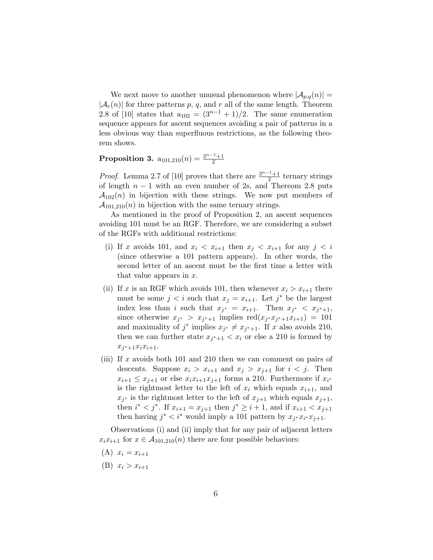We next move to another unusual phenomenon where  $|\mathcal{A}_{p,q}(n)| =$  $|\mathcal{A}_r(n)|$  for three patterns p, q, and r all of the same length. Theorem 2.8 of [\[10\]](#page-27-6) states that  $a_{102} = (3^{n-1} + 1)/2$ . The same enumeration sequence appears for ascent sequences avoiding a pair of patterns in a less obvious way than superfluous restrictions, as the following theorem shows.

#### <span id="page-5-0"></span>Proposition 3.  $a_{101,210}(n) = \frac{3^{n-1}+1}{2}$ 2

*Proof.* Lemma 2.7 of [\[10\]](#page-27-6) proves that there are  $\frac{3^{n-1}+1}{2}$  $\frac{1}{2}$  ternary strings of length  $n-1$  with an even number of 2s, and Thereom 2.8 puts  $\mathcal{A}_{102}(n)$  in bijection with these strings. We now put members of  $\mathcal{A}_{101,210}(n)$  in bijection with the same ternary strings.

As mentioned in the proof of Proposition [2,](#page-4-1) an ascent sequences avoiding 101 must be an RGF. Therefore, we are considering a subset of the RGFs with additional restrictions:

- (i) If x avoids 101, and  $x_i < x_{i+1}$  then  $x_i < x_{i+1}$  for any  $j < i$ (since otherwise a 101 pattern appears). In other words, the second letter of an ascent must be the first time a letter with that value appears in  $x$ .
- (ii) If x is an RGF which avoids 101, then whenever  $x_i > x_{i+1}$  there must be some  $j < i$  such that  $x_j = x_{i+1}$ . Let  $j^*$  be the largest index less than i such that  $x_{j^*} = x_{i+1}$ . Then  $x_{j^*} < x_{j^*+1}$ , since otherwise  $x_{j^*} > x_{j^*+1}$  implies  $\text{red}(x_{j^*}x_{j^*+1}x_{i+1}) = 101$ and maximality of  $j^*$  implies  $x_{j^*} \neq x_{j^*+1}$ . If x also avoids 210, then we can further state  $x_{j^*+1} < x_i$  or else a 210 is formed by  $x_{j^*+1}x_ix_{i+1}.$
- (iii) If x avoids both 101 and 210 then we can comment on pairs of descents. Suppose  $x_i > x_{i+1}$  and  $x_j > x_{j+1}$  for  $i < j$ . Then  $x_{i+1} \leq x_{j+1}$  or else  $x_i x_{i+1} x_{j+1}$  forms a 210. Furthermore if  $x_{i^*}$ is the rightmost letter to the left of  $x_i$  which equals  $x_{i+1}$ , and  $x_{j^*}$  is the rightmost letter to the left of  $x_{j+1}$ , which equals  $x_{j+1}$ , then  $i^* < j^*$ . If  $x_{i+1} = x_{j+1}$  then  $j^* \geq i+1$ , and if  $x_{i+1} < x_{j+1}$ then having  $j^* < i^*$  would imply a 101 pattern by  $x_{j^*}x_{i^*}x_{j+1}$ .

Observations (i) and (ii) imply that for any pair of adjacent letters  $x_i x_{i+1}$  for  $x \in A_{101,210}(n)$  there are four possible behaviors:

- $(A)$   $x_i = x_{i+1}$
- (B)  $x_i > x_{i+1}$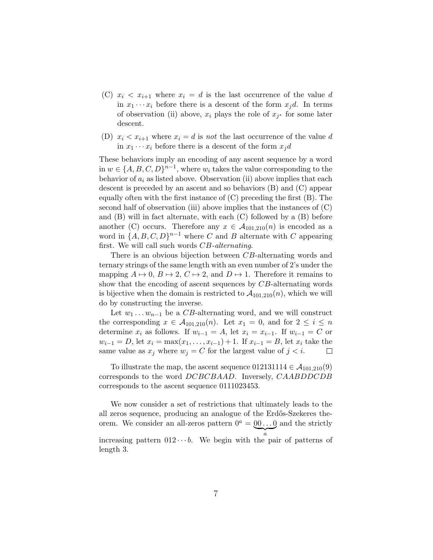- (C)  $x_i < x_{i+1}$  where  $x_i = d$  is the last occurrence of the value d in  $x_1 \cdots x_i$  before there is a descent of the form  $x_j d$ . In terms of observation (ii) above,  $x_i$  plays the role of  $x_{j^*}$  for some later descent.
- (D)  $x_i < x_{i+1}$  where  $x_i = d$  is not the last occurrence of the value d in  $x_1 \cdots x_i$  before there is a descent of the form  $x_i d$

These behaviors imply an encoding of any ascent sequence by a word in  $w \in \{A, B, C, D\}^{n-1}$ , where  $w_i$  takes the value corresponding to the behavior of  $a_i$  as listed above. Observation (ii) above implies that each descent is preceded by an ascent and so behaviors (B) and (C) appear equally often with the first instance of  $(C)$  preceding the first  $(B)$ . The second half of observation (iii) above implies that the instances of (C) and (B) will in fact alternate, with each (C) followed by a (B) before another (C) occurs. Therefore any  $x \in A_{101,210}(n)$  is encoded as a word in  $\{A, B, C, D\}^{n-1}$  where C and B alternate with C appearing first. We will call such words CB-alternating.

There is an obvious bijection between CB-alternating words and ternary strings of the same length with an even number of 2's under the mapping  $A \mapsto 0$ ,  $B \mapsto 2$ ,  $C \mapsto 2$ , and  $D \mapsto 1$ . Therefore it remains to show that the encoding of ascent sequences by CB-alternating words is bijective when the domain is restricted to  $\mathcal{A}_{101,210}(n)$ , which we will do by constructing the inverse.

Let  $w_1 \ldots w_{n-1}$  be a CB-alternating word, and we will construct the corresponding  $x \in \mathcal{A}_{101,210}(n)$ . Let  $x_1 = 0$ , and for  $2 \leq i \leq n$ determine  $x_i$  as follows. If  $w_{i-1} = A$ , let  $x_i = x_{i-1}$ . If  $w_{i-1} = C$  or  $w_{i-1} = D$ , let  $x_i = \max(x_1, \ldots, x_{i-1}) + 1$ . If  $x_{i-1} = B$ , let  $x_i$  take the same value as  $x_j$  where  $w_j = C$  for the largest value of  $j < i$ .  $\Box$ 

To illustrate the map, the ascent sequence  $012131114 \in \mathcal{A}_{101,210}(9)$ corresponds to the word DCBCBAAD. Inversely, CAABDDCDB corresponds to the ascent sequence 0111023453.

We now consider a set of restrictions that ultimately leads to the all zeros sequence, producing an analogue of the Erdős-Szekeres theorem. We consider an all-zeros pattern  $0^a = 00 \dots 0$  and the strictly  $\overline{a}$ increasing pattern  $012 \cdots b$ . We begin with the pair of patterns of length 3.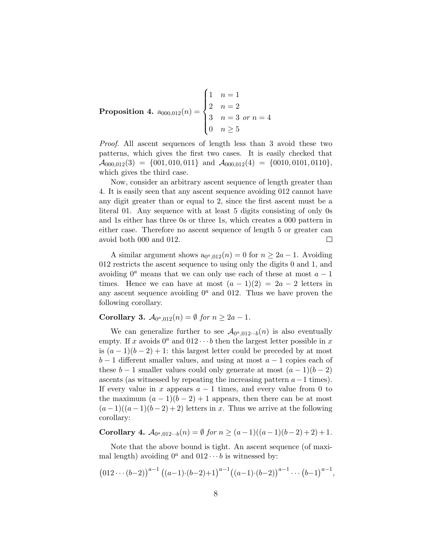<span id="page-7-0"></span>Proposition 4.  $a_{000,012}(n) =$  $\sqrt{ }$  $\int$  $\overline{\mathcal{L}}$ 1  $n = 1$ 2  $n = 2$ 3  $n = 3$  or  $n = 4$ 0  $n \geq 5$ 

Proof. All ascent sequences of length less than 3 avoid these two patterns, which gives the first two cases. It is easily checked that  $\mathcal{A}_{000,012}(3) = \{001, 010, 011\}$  and  $\mathcal{A}_{000,012}(4) = \{0010, 0101, 0110\},\$ which gives the third case.

Now, consider an arbitrary ascent sequence of length greater than 4. It is easily seen that any ascent sequence avoiding 012 cannot have any digit greater than or equal to 2, since the first ascent must be a literal 01. Any sequence with at least 5 digits consisting of only 0s and 1s either has three 0s or three 1s, which creates a 000 pattern in either case. Therefore no ascent sequence of length 5 or greater can avoid both 000 and 012.  $\Box$ 

A similar argument shows  $a_{0^a,012}(n) = 0$  for  $n \ge 2a - 1$ . Avoiding 012 restricts the ascent sequence to using only the digits 0 and 1, and avoiding  $0^a$  means that we can only use each of these at most  $a-1$ times. Hence we can have at most  $(a-1)(2) = 2a - 2$  letters in any ascent sequence avoiding  $0^a$  and 012. Thus we have proven the following corollary.

**Corollary 3.**  $A_{0^a,012}(n) = \emptyset$  for  $n \geq 2a - 1$ .

We can generalize further to see  $\mathcal{A}_{0^a,012\cdots b}(n)$  is also eventually empty. If x avoids  $0^a$  and  $012 \cdots b$  then the largest letter possible in x is  $(a-1)(b-2)+1$ : this largest letter could be preceded by at most  $b-1$  different smaller values, and using at most  $a-1$  copies each of these  $b-1$  smaller values could only generate at most  $(a-1)(b-2)$ ascents (as witnessed by repeating the increasing pattern  $a-1$  times). If every value in x appears  $a - 1$  times, and every value from 0 to the maximum  $(a-1)(b-2)+1$  appears, then there can be at most  $(a-1)((a-1)(b-2)+2)$  letters in x. Thus we arrive at the following corollary:

Corollary 4.  $A_{0^a,012\cdots b}(n) = \emptyset$  for  $n \ge (a-1)((a-1)(b-2)+2)+1$ .

Note that the above bound is tight. An ascent sequence (of maximal length) avoiding  $0^a$  and  $012 \cdots b$  is witnessed by:

$$
(012\cdots (b-2))^{a-1} ((a-1) \cdot (b-2)+1)^{a-1} ((a-1) \cdot (b-2))^{a-1} \cdots (b-1)^{a-1},
$$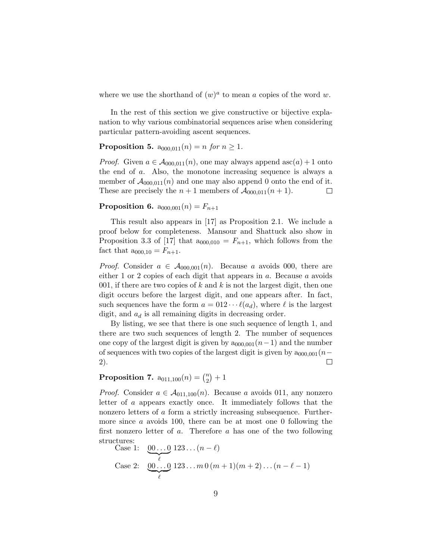where we use the shorthand of  $(w)^a$  to mean a copies of the word w.

In the rest of this section we give constructive or bijective explanation to why various combinatorial sequences arise when considering particular pattern-avoiding ascent sequences.

<span id="page-8-0"></span>**Proposition 5.**  $a_{000,011}(n) = n$  for  $n \ge 1$ .

*Proof.* Given  $a \in A_{000,011}(n)$ , one may always append asc $(a) + 1$  onto the end of a. Also, the monotone increasing sequence is always a member of  $\mathcal{A}_{000,011}(n)$  and one may also append 0 onto the end of it. These are precisely the  $n+1$  members of  $\mathcal{A}_{000,011}(n+1)$ .  $\Box$ 

<span id="page-8-1"></span>**Proposition 6.**  $a_{000,001}(n) = F_{n+1}$ 

This result also appears in [\[17\]](#page-28-2) as Proposition 2.1. We include a proof below for completeness. Mansour and Shattuck also show in Proposition 3.3 of [\[17\]](#page-28-2) that  $a_{000,010} = F_{n+1}$ , which follows from the fact that  $a_{000,10} = F_{n+1}$ .

*Proof.* Consider  $a \in A_{000,001}(n)$ . Because a avoids 000, there are either 1 or 2 copies of each digit that appears in a. Because a avoids 001, if there are two copies of k and k is not the largest digit, then one digit occurs before the largest digit, and one appears after. In fact, such sequences have the form  $a = 012 \cdots \ell(a_d)$ , where  $\ell$  is the largest digit, and  $a_d$  is all remaining digits in decreasing order.

By listing, we see that there is one such sequence of length 1, and there are two such sequences of length 2. The number of sequences one copy of the largest digit is given by  $a_{000,001}(n-1)$  and the number of sequences with two copies of the largest digit is given by  $a_{000,001}(n-\alpha)$ 2).  $\Box$ 

#### <span id="page-8-2"></span>**Proposition 7.**  $a_{011,100}(n) = {n \choose 2}$  $\binom{n}{2}+1$

*Proof.* Consider  $a \in \mathcal{A}_{011,100}(n)$ . Because a avoids 011, any nonzero letter of a appears exactly once. It immediately follows that the nonzero letters of a form a strictly increasing subsequence. Furthermore since a avoids 100, there can be at most one 0 following the first nonzero letter of a. Therefore a has one of the two following structures:

Case 1: 
$$
\underbrace{00...0}_{\ell}
$$
 123... $(n - \ell)$   
Case 2:  $\underbrace{00...0}_{\ell}$  123... $m 0 (m + 1) (m + 2) ... (n - \ell - 1)$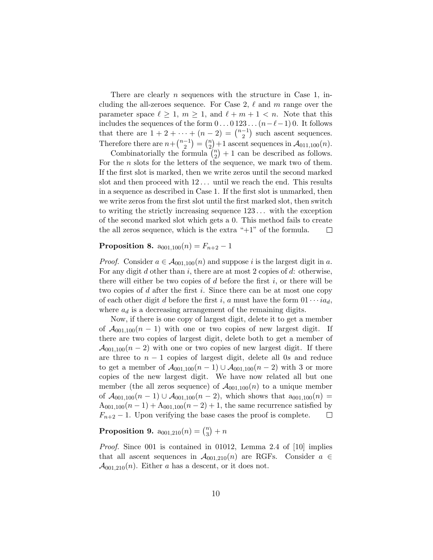There are clearly  $n$  sequences with the structure in Case 1, including the all-zeroes sequence. For Case 2,  $\ell$  and m range over the parameter space  $\ell \geq 1$ ,  $m \geq 1$ , and  $\ell + m + 1 < n$ . Note that this includes the sequences of the form  $0 \dots 0123 \dots (n-\ell-1) 0$ . It follows that there are  $1 + 2 + \cdots + (n-2) = \binom{n-1}{2}$  $\binom{-1}{2}$  such ascent sequences. Therefore there are  $n + \binom{n-1}{2}$  $\binom{-1}{2} = \binom{n}{2}$  $\binom{n}{2}+1$  ascent sequences in  $\mathcal{A}_{011,100}(n)$ .

Combinatorially the formula  $\binom{n}{2}$  $n_2$ <sup>n</sup> $+1$  can be described as follows. For the  $n$  slots for the letters of the sequence, we mark two of them. If the first slot is marked, then we write zeros until the second marked slot and then proceed with  $12...$  until we reach the end. This results in a sequence as described in Case 1. If the first slot is unmarked, then we write zeros from the first slot until the first marked slot, then switch to writing the strictly increasing sequence  $123...$  with the exception of the second marked slot which gets a 0. This method fails to create the all zeros sequence, which is the extra " $+1$ " of the formula.  $\Box$ 

### <span id="page-9-0"></span>Proposition 8.  $a_{001,100}(n) = F_{n+2} - 1$

*Proof.* Consider  $a \in A_{001,100}(n)$  and suppose i is the largest digit in a. For any digit  $d$  other than  $i$ , there are at most 2 copies of  $d$ : otherwise, there will either be two copies of  $d$  before the first  $i$ , or there will be two copies of  $d$  after the first  $i$ . Since there can be at most one copy of each other digit d before the first i, a must have the form  $01 \cdots i a_d$ , where  $a_d$  is a decreasing arrangement of the remaining digits.

Now, if there is one copy of largest digit, delete it to get a member of  $A_{001,100}(n-1)$  with one or two copies of new largest digit. If there are two copies of largest digit, delete both to get a member of  $\mathcal{A}_{001,100}(n-2)$  with one or two copies of new largest digit. If there are three to  $n - 1$  copies of largest digit, delete all 0s and reduce to get a member of  $A_{001,100}(n-1) \cup A_{001,100}(n-2)$  with 3 or more copies of the new largest digit. We have now related all but one member (the all zeros sequence) of  $\mathcal{A}_{001,100}(n)$  to a unique member of  $\mathcal{A}_{001,100}(n-1) \cup \mathcal{A}_{001,100}(n-2)$ , which shows that  $a_{001,100}(n)$  =  $A_{001,100}(n-1) + A_{001,100}(n-2) + 1$ , the same recurrence satisfied by  $F_{n+2}$  – 1. Upon verifying the base cases the proof is complete.  $\Box$ 

#### <span id="page-9-1"></span>**Proposition 9.**  $a_{001,210}(n) = {n \choose 3}$  $\binom{n}{3}+n$

Proof. Since 001 is contained in 01012, Lemma 2.4 of [\[10\]](#page-27-6) implies that all ascent sequences in  $\mathcal{A}_{001,210}(n)$  are RGFs. Consider  $a \in$  $\mathcal{A}_{001,210}(n)$ . Either a has a descent, or it does not.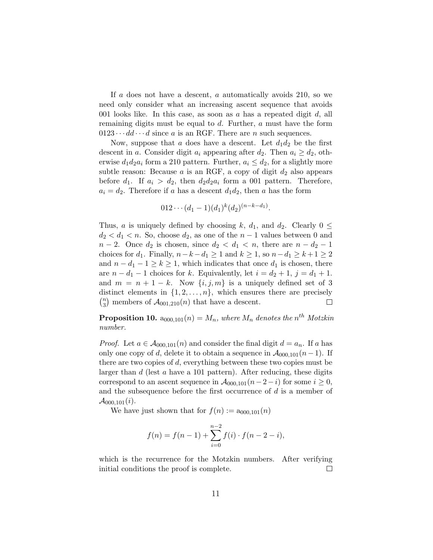If a does not have a descent, a automatically avoids 210, so we need only consider what an increasing ascent sequence that avoids 001 looks like. In this case, as soon as  $a$  has a repeated digit  $d$ , all remaining digits must be equal to d. Further, a must have the form  $0123 \cdots dd \cdots d$  since a is an RGF. There are n such sequences.

Now, suppose that a does have a descent. Let  $d_1 d_2$  be the first descent in a. Consider digit  $a_i$  appearing after  $d_2$ . Then  $a_i \geq d_2$ , otherwise  $d_1 d_2 a_i$  form a 210 pattern. Further,  $a_i \leq d_2$ , for a slightly more subtle reason: Because  $a$  is an RGF, a copy of digit  $d_2$  also appears before  $d_1$ . If  $a_i > d_2$ , then  $d_2d_2a_i$  form a 001 pattern. Therefore,  $a_i = d_2$ . Therefore if a has a descent  $d_1 d_2$ , then a has the form

$$
012\cdots(d_1-1)(d_1)^k(d_2)^{(n-k-d_1)}
$$

.

Thus, a is uniquely defined by choosing k,  $d_1$ , and  $d_2$ . Clearly  $0 \leq$  $d_2 < d_1 < n$ . So, choose  $d_2$ , as one of the  $n-1$  values between 0 and  $n-2$ . Once  $d_2$  is chosen, since  $d_2 < d_1 < n$ , there are  $n - d_2 - 1$ choices for  $d_1$ . Finally,  $n-k-d_1 \geq 1$  and  $k \geq 1$ , so  $n-d_1 \geq k+1 \geq 2$ and  $n - d_1 - 1 \ge k \ge 1$ , which indicates that once  $d_1$  is chosen, there are  $n - d_1 - 1$  choices for k. Equivalently, let  $i = d_2 + 1$ ,  $j = d_1 + 1$ . and  $m = n + 1 - k$ . Now  $\{i, j, m\}$  is a uniquely defined set of 3 distinct elements in  $\{1, 2, \ldots, n\}$ , which ensures there are precisely  $\binom{n}{2}$  $\binom{n}{3}$  members of  $\mathcal{A}_{001,210}(n)$  that have a descent.  $\Box$ 

<span id="page-10-0"></span>**Proposition 10.**  $a_{000,101}(n) = M_n$ , where  $M_n$  denotes the  $n^{th}$  Motzkin number.

*Proof.* Let  $a \in \mathcal{A}_{000,101}(n)$  and consider the final digit  $d = a_n$ . If a has only one copy of d, delete it to obtain a sequence in  $A_{000,101}(n-1)$ . If there are two copies of d, everything between these two copies must be larger than d (lest a have a 101 pattern). After reducing, these digits correspond to an ascent sequence in  $\mathcal{A}_{000,101}(n-2-i)$  for some  $i \geq 0$ , and the subsequence before the first occurrence of d is a member of  $\mathcal{A}_{000,101}(i)$ .

We have just shown that for  $f(n) := a_{000,101}(n)$ 

$$
f(n) = f(n-1) + \sum_{i=0}^{n-2} f(i) \cdot f(n-2-i),
$$

which is the recurrence for the Motzkin numbers. After verifying initial conditions the proof is complete.  $\Box$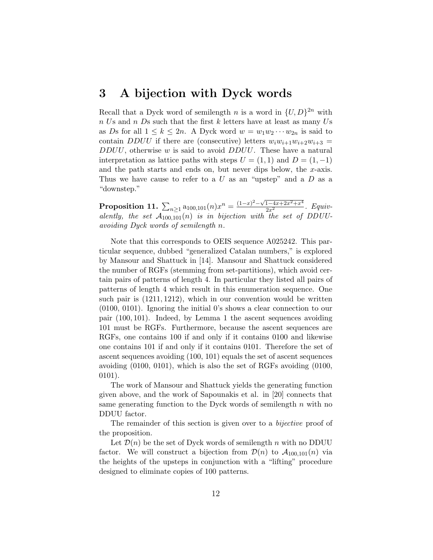## 3 A bijection with Dyck words

Recall that a Dyck word of semilength n is a word in  $\{U, D\}^{2n}$  with  $n$  Us and  $n$  Ds such that the first k letters have at least as many Us as Ds for all  $1 \leq k \leq 2n$ . A Dyck word  $w = w_1w_2\cdots w_{2n}$  is said to contain DDUU if there are (consecutive) letters  $w_i w_{i+1} w_{i+2} w_{i+3} =$  $DDUU$ , otherwise w is said to avoid  $DDUU$ . These have a natural interpretation as lattice paths with steps  $U = (1, 1)$  and  $D = (1, -1)$ and the path starts and ends on, but never dips below, the  $x$ -axis. Thus we have cause to refer to a  $U$  as an "upstep" and a  $D$  as a "downstep."

<span id="page-11-0"></span>**Proposition 11.**  $\sum_{n\geq 1} a_{100,101}(n)x^n = \frac{(1-x)^2 - \sqrt{1-4x+2x^2+x^4}}{2x^2}$ . *Equiv*alently, the set  $\overline{A_{100,101}}(n)$  is in bijection with the set of DDUUavoiding Dyck words of semilength n.

Note that this corresponds to OEIS sequence A025242. This particular sequence, dubbed "generalized Catalan numbers," is explored by Mansour and Shattuck in [\[14\]](#page-27-10). Mansour and Shattuck considered the number of RGFs (stemming from set-partitions), which avoid certain pairs of patterns of length 4. In particular they listed all pairs of patterns of length 4 which result in this enumeration sequence. One such pair is (1211, 1212), which in our convention would be written (0100, 0101). Ignoring the initial 0's shows a clear connection to our pair (100, 101). Indeed, by Lemma [1](#page-2-1) the ascent sequences avoiding 101 must be RGFs. Furthermore, because the ascent sequences are RGFs, one contains 100 if and only if it contains 0100 and likewise one contains 101 if and only if it contains 0101. Therefore the set of ascent sequences avoiding (100, 101) equals the set of ascent sequences avoiding (0100, 0101), which is also the set of RGFs avoiding (0100, 0101).

The work of Mansour and Shattuck yields the generating function given above, and the work of Sapounakis et al. in [\[20\]](#page-28-3) connects that same generating function to the Dyck words of semilength  $n$  with no DDUU factor.

The remainder of this section is given over to a *bijective* proof of the proposition.

Let  $\mathcal{D}(n)$  be the set of Dyck words of semilength n with no DDUU factor. We will construct a bijection from  $\mathcal{D}(n)$  to  $\mathcal{A}_{100,101}(n)$  via the heights of the upsteps in conjunction with a "lifting" procedure designed to eliminate copies of 100 patterns.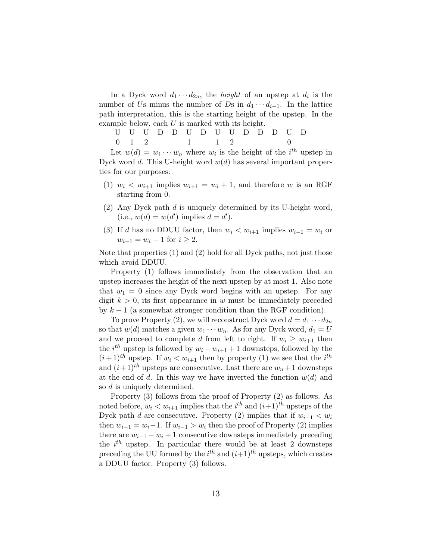In a Dyck word  $d_1 \cdots d_{2n}$ , the *height* of an upstep at  $d_i$  is the number of Us minus the number of Ds in  $d_1 \cdots d_{i-1}$ . In the lattice path interpretation, this is the starting height of the upstep. In the example below, each U is marked with its height.

U U U D D U D U U D D D U D  $0 \quad 1 \quad 2 \quad 1 \quad 1 \quad 2 \quad 0$ 

Let  $w(d) = w_1 \cdots w_n$  where  $w_i$  is the height of the  $i^{th}$  upstep in Dyck word d. This U-height word  $w(d)$  has several important properties for our purposes:

- (1)  $w_i < w_{i+1}$  implies  $w_{i+1} = w_i + 1$ , and therefore w is an RGF starting from 0.
- (2) Any Dyck path  $d$  is uniquely determined by its U-height word, (i.e.,  $w(d) = w(d')$  implies  $d = d'$ ).
- (3) If d has no DDUU factor, then  $w_i < w_{i+1}$  implies  $w_{i-1} = w_i$  or  $w_{i-1} = w_i - 1$  for  $i \geq 2$ .

Note that properties (1) and (2) hold for all Dyck paths, not just those which avoid DDUU.

Property (1) follows immediately from the observation that an upstep increases the height of the next upstep by at most 1. Also note that  $w_1 = 0$  since any Dyck word begins with an upstep. For any digit  $k > 0$ , its first appearance in w must be immediately preceded by  $k - 1$  (a somewhat stronger condition than the RGF condition).

To prove Property (2), we will reconstruct Dyck word  $d = d_1 \cdots d_{2n}$ so that  $w(d)$  matches a given  $w_1 \cdots w_n$ . As for any Dyck word,  $d_1 = U$ and we proceed to complete d from left to right. If  $w_i \geq w_{i+1}$  then the  $i^{th}$  upstep is followed by  $w_i - w_{i+1} + 1$  downsteps, followed by the  $(i+1)$ <sup>th</sup> upstep. If  $w_i < w_{i+1}$  then by property (1) we see that the *i*<sup>th</sup> and  $(i+1)^{th}$  upsteps are consecutive. Last there are  $w_n+1$  downsteps at the end of d. In this way we have inverted the function  $w(d)$  and so d is uniquely determined.

Property (3) follows from the proof of Property (2) as follows. As noted before,  $w_i < w_{i+1}$  implies that the  $i^{th}$  and  $(i+1)^{th}$  upsteps of the Dyck path d are consecutive. Property (2) implies that if  $w_{i-1} < w_i$ then  $w_{i-1} = w_i - 1$ . If  $w_{i-1} > w_i$  then the proof of Property (2) implies there are  $w_{i-1} - w_i + 1$  consecutive downsteps immediately preceding the  $i^{th}$  upstep. In particular there would be at least 2 downsteps preceding the UU formed by the  $i^{th}$  and  $(i+1)^{th}$  upsteps, which creates a DDUU factor. Property (3) follows.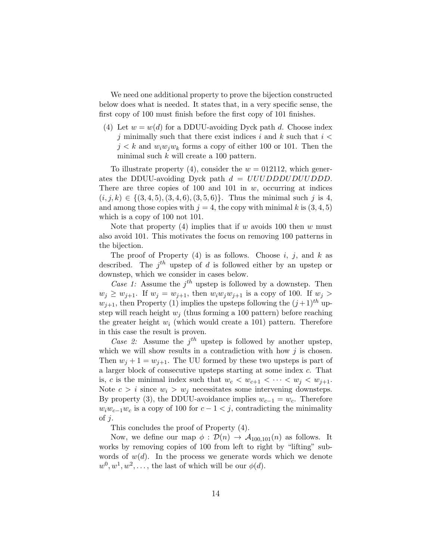We need one additional property to prove the bijection constructed below does what is needed. It states that, in a very specific sense, the first copy of 100 must finish before the first copy of 101 finishes.

(4) Let  $w = w(d)$  for a DDUU-avoiding Dyck path d. Choose index j minimally such that there exist indices i and k such that  $i <$  $j < k$  and  $w_i w_j w_k$  forms a copy of either 100 or 101. Then the minimal such  $k$  will create a 100 pattern.

To illustrate property (4), consider the  $w = 012112$ , which generates the DDUU-avoiding Dyck path  $d = UUUDDDUUUDDD$ . There are three copies of 100 and 101 in  $w$ , occurring at indices  $(i, j, k) \in \{(3, 4, 5), (3, 4, 6), (3, 5, 6)\}.$  Thus the minimal such j is 4, and among those copies with  $j = 4$ , the copy with minimal k is  $(3, 4, 5)$ which is a copy of 100 not 101.

Note that property (4) implies that if w avoids 100 then w must also avoid 101. This motivates the focus on removing 100 patterns in the bijection.

The proof of Property  $(4)$  is as follows. Choose i, j, and k as described. The  $j<sup>th</sup>$  upstep of d is followed either by an upstep or downstep, which we consider in cases below.

Case 1: Assume the  $j<sup>th</sup>$  upstep is followed by a downstep. Then  $w_j \geq w_{j+1}$ . If  $w_j = w_{j+1}$ , then  $w_i w_j w_{j+1}$  is a copy of 100. If  $w_j >$  $w_{i+1}$ , then Property (1) implies the upsteps following the  $(j+1)^{th}$  upstep will reach height  $w_i$  (thus forming a 100 pattern) before reaching the greater height  $w_i$  (which would create a 101) pattern. Therefore in this case the result is proven.

Case 2: Assume the  $j<sup>th</sup>$  upstep is followed by another upstep, which we will show results in a contradiction with how  $j$  is chosen. Then  $w_j + 1 = w_{j+1}$ . The UU formed by these two upsteps is part of a larger block of consecutive upsteps starting at some index c. That is, c is the minimal index such that  $w_c < w_{c+1} < \cdots < w_j < w_{j+1}$ . Note  $c > i$  since  $w_i > w_j$  necessitates some intervening downsteps. By property (3), the DDUU-avoidance implies  $w_{c-1} = w_c$ . Therefore  $w_iw_{c-1}w_c$  is a copy of 100 for  $c-1 < j$ , contradicting the minimality of  $i$ .

This concludes the proof of Property (4).

Now, we define our map  $\phi : \mathcal{D}(n) \to \mathcal{A}_{100,101}(n)$  as follows. It works by removing copies of 100 from left to right by "lifting" subwords of  $w(d)$ . In the process we generate words which we denote  $w^0, w^1, w^2, \ldots$ , the last of which will be our  $\phi(d)$ .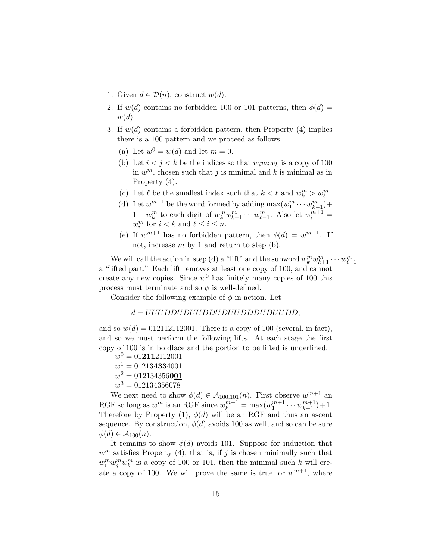- 1. Given  $d \in \mathcal{D}(n)$ , construct  $w(d)$ .
- 2. If  $w(d)$  contains no forbidden 100 or 101 patterns, then  $\phi(d)$  =  $w(d).$
- 3. If  $w(d)$  contains a forbidden pattern, then Property (4) implies there is a 100 pattern and we proceed as follows.
	- (a) Let  $w^0 = w(d)$  and let  $m = 0$ .
	- (b) Let  $i < j < k$  be the indices so that  $w_i w_j w_k$  is a copy of 100 in  $w^m$ , chosen such that j is minimal and k is minimal as in Property (4).
	- (c) Let  $\ell$  be the smallest index such that  $k < \ell$  and  $w^m_k > w^m_{\ell}$ .
	- (d) Let  $w^{m+1}$  be the word formed by adding  $\max(w_1^m \cdots w_{k-1}^m)$ +  $1 - w_k^m$  to each digit of  $w_k^m w_{k+1}^m \cdots w_{\ell-1}^m$ . Also let  $w_i^{m+1} =$  $w_i^m$  for  $i < k$  and  $\ell \leq i \leq n$ .
	- (e) If  $w^{m+1}$  has no forbidden pattern, then  $\phi(d) = w^{m+1}$ . If not, increase  $m$  by 1 and return to step (b).

We will call the action in step (d) a "lift" and the subword  $w_k^m w_{k+1}^m \cdots w_{\ell-1}^m$ a "lifted part." Each lift removes at least one copy of 100, and cannot create any new copies. Since  $w^0$  has finitely many copies of 100 this process must terminate and so  $\phi$  is well-defined.

Consider the following example of  $\phi$  in action. Let

$$
d = UUUDDUDUUDDUUUDDDUDUUDD,
$$

and so  $w(d) = 012112112001$ . There is a copy of 100 (several, in fact), and so we must perform the following lifts. At each stage the first copy of 100 is in boldface and the portion to be lifted is underlined.

- $w^0 = 01$ **21**12112001
- $w^1 = 012134334001$
- $w^2 = 0121343560\underline{01}$
- $w^3 = 012134356078$

We next need to show  $\phi(d) \in \mathcal{A}_{100,101}(n)$ . First observe  $w^{m+1}$  and RGF so long as  $w^m$  is an RGF since  $w_k^{m+1} = \max(w_1^{m+1} \cdots w_{k-1}^{m+1})$  $\binom{m+1}{k-1}+1$ . Therefore by Property (1),  $\phi(d)$  will be an RGF and thus an ascent sequence. By construction,  $\phi(d)$  avoids 100 as well, and so can be sure  $\phi(d) \in \mathcal{A}_{100}(n).$ 

It remains to show  $\phi(d)$  avoids 101. Suppose for induction that  $w^m$  satisfies Property (4), that is, if j is chosen minimally such that  $w_i^m w_j^m w_k^m$  is a copy of 100 or 101, then the minimal such k will create a copy of 100. We will prove the same is true for  $w^{m+1}$ , where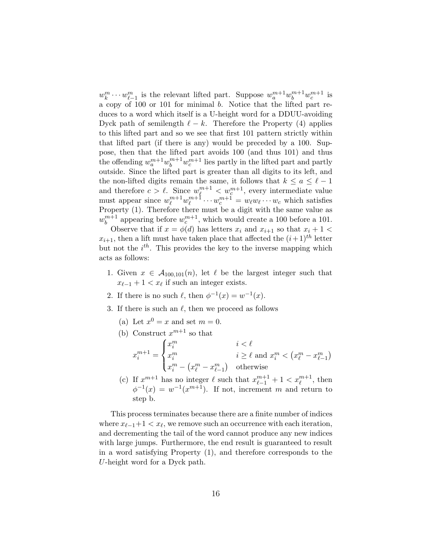$w_k^m \cdots w_{\ell-1}^m$  is the relevant lifted part. Suppose  $w_a^{m+1} w_b^{m+1} w_c^{m+1}$  is a copy of 100 or 101 for minimal b. Notice that the lifted part reduces to a word which itself is a U-height word for a DDUU-avoiding Dyck path of semilength  $\ell - k$ . Therefore the Property (4) applies to this lifted part and so we see that first 101 pattern strictly within that lifted part (if there is any) would be preceded by a 100. Suppose, then that the lifted part avoids 100 (and thus 101) and thus the offending  $w_a^{m+1}w_b^{m+1}w_c^{m+1}$  lies partly in the lifted part and partly outside. Since the lifted part is greater than all digits to its left, and the non-lifted digits remain the same, it follows that  $k \le a \le \ell - 1$ and therefore  $c > \ell$ . Since  $w_{\ell}^{m+1} < w_{c}^{m+1}$ , every intermediate value must appear since  $w_{\ell}^{m+1} w_{\ell}^{m+1}$  $w_{\ell}^{m+1} \cdots w_{c}^{m+1} = w_{\ell} w_{\ell} \cdots w_{c}$  which satisfies Property (1). Therefore there must be a digit with the same value as  $w_h^{m+1}$  $b^{m+1}_{b}$  appearing before  $w_c^{m+1}$ , which would create a 100 before a 101.

Observe that if  $x = \phi(d)$  has letters  $x_i$  and  $x_{i+1}$  so that  $x_i + 1$  $x_{i+1}$ , then a lift must have taken place that affected the  $(i+1)^{th}$  letter but not the  $i^{th}$ . This provides the key to the inverse mapping which acts as follows:

- 1. Given  $x \in A_{100,101}(n)$ , let  $\ell$  be the largest integer such that  $x_{\ell-1} + 1 < x_{\ell}$  if such an integer exists.
- 2. If there is no such  $\ell$ , then  $\phi^{-1}(x) = w^{-1}(x)$ .
- 3. If there is such an  $\ell$ , then we proceed as follows
	- (a) Let  $x^0 = x$  and set  $m = 0$ .
	- (b) Construct  $x^{m+1}$  so that  $x_i^{m+1} =$  $\sqrt{ }$  $\int$  $\overline{\mathcal{L}}$  $x_i^m$   $i < \ell$  $x_i^m$   $i \geq \ell$  and  $x_i^m < (x_\ell^m - x_{\ell-1}^m)$  $x_i^m - \left(x_\ell^m - x_{\ell-1}^m\right)$  otherwise
	- (c) If  $x^{m+1}$  has no integer  $\ell$  such that  $x_{\ell-1}^{m+1} + 1 < x_{\ell}^{m+1}$ , then  $\phi^{-1}(x) = w^{-1}(x^{m+1})$ . If not, increment m and return to step b.

This process terminates because there are a finite number of indices where  $x_{\ell-1}+1 < x_{\ell}$ , we remove such an occurrence with each iteration, and decrementing the tail of the word cannot produce any new indices with large jumps. Furthermore, the end result is guaranteed to result in a word satisfying Property (1), and therefore corresponds to the U-height word for a Dyck path.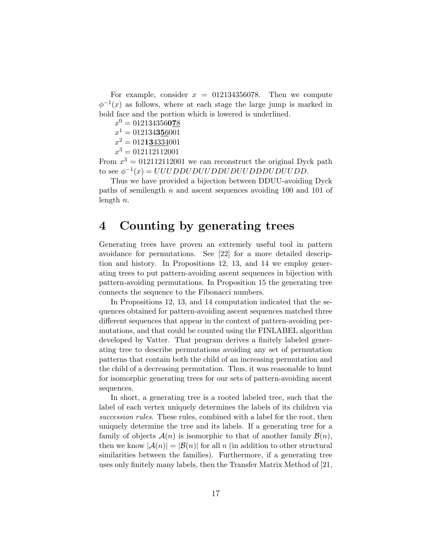For example, consider  $x = 012134356078$ . Then we compute  $\phi^{-1}(x)$  as follows, where at each stage the large jump is marked in bold face and the portion which is lowered is underlined.

- $x^0 = 012134356$ **078**
- $x^1 = 012134356001$
- $x^2 = 0121\underline{34334}001$
- $x^3 = 012112112001$

From  $x^3 = 012112112001$  we can reconstruct the original Dyck path to see  $\phi^{-1}(x) = UUUDDUDUUDDUUDDUDDUDUUDD$ .

Thus we have provided a bijection between DDUU-avoiding Dyck paths of semilength n and ascent sequences avoiding 100 and 101 of length  $n$ .

### 4 Counting by generating trees

Generating trees have proven an extremely useful tool in pattern avoidance for permutations. See [\[22\]](#page-28-4) for a more detailed description and history. In Propositions [12,](#page-17-0) [13,](#page-20-0) and [14](#page-21-0) we employ generating trees to put pattern-avoiding ascent sequences in bijection with pattern-avoiding permutations. In Proposition [15](#page-23-0) the generating tree connects the sequence to the Fibonacci numbers.

In Propositions [12,](#page-17-0) [13,](#page-20-0) and [14](#page-21-0) computation indicated that the sequences obtained for pattern-avoiding ascent sequences matched three different sequences that appear in the context of pattern-avoiding permutations, and that could be counted using the FINLABEL algorithm developed by Vatter. That program derives a finitely labeled generating tree to describe permutations avoiding any set of permutation patterns that contain both the child of an increasing permutation and the child of a decreasing permutation. Thus, it was reasonable to hunt for isomorphic generating trees for our sets of pattern-avoiding ascent sequences.

In short, a generating tree is a rooted labeled tree, such that the label of each vertex uniquely determines the labels of its children via succession rules. These rules, combined with a label for the root, then uniquely determine the tree and its labels. If a generating tree for a family of objects  $\mathcal{A}(n)$  is isomorphic to that of another family  $\mathcal{B}(n)$ , then we know  $|\mathcal{A}(n)| = |\mathcal{B}(n)|$  for all n (in addition to other structural similarities between the families). Furthermore, if a generating tree uses only finitely many labels, then the Transfer Matrix Method of [\[21,](#page-28-5)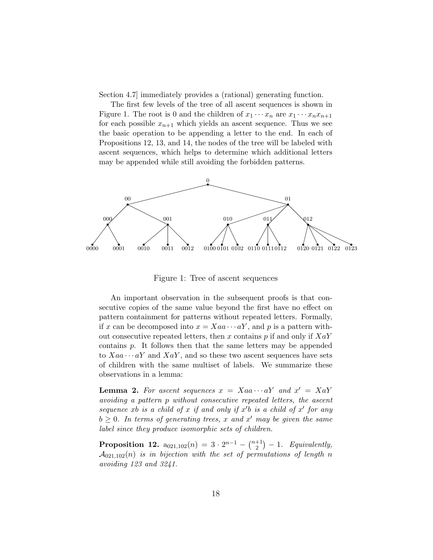Section 4.7] immediately provides a (rational) generating function.

The first few levels of the tree of all ascent sequences is shown in Figure [1.](#page-17-1) The root is 0 and the children of  $x_1 \cdots x_n$  are  $x_1 \cdots x_n x_{n+1}$ for each possible  $x_{n+1}$  which yields an ascent sequence. Thus we see the basic operation to be appending a letter to the end. In each of Propositions [12,](#page-17-0) [13,](#page-20-0) and [14,](#page-21-0) the nodes of the tree will be labeled with ascent sequences, which helps to determine which additional letters may be appended while still avoiding the forbidden patterns.



<span id="page-17-1"></span>Figure 1: Tree of ascent sequences

An important observation in the subsequent proofs is that consecutive copies of the same value beyond the first have no effect on pattern containment for patterns without repeated letters. Formally, if x can be decomposed into  $x = Xaa \cdots aY$ , and p is a pattern without consecutive repeated letters, then x contains  $p$  if and only if  $XaY$ contains p. It follows then that the same letters may be appended to  $Xaa \cdots aY$  and  $XaY$ , and so these two ascent sequences have sets of children with the same multiset of labels. We summarize these observations in a lemma:

<span id="page-17-2"></span>**Lemma 2.** For ascent sequences  $x = Xaa \cdots aY$  and  $x' = XaY$ avoiding a pattern p without consecutive repeated letters, the ascent sequence xb is a child of x if and only if  $x'b$  is a child of  $x'$  for any  $b \geq 0$ . In terms of generating trees, x and x' may be given the same label since they produce isomorphic sets of children.

<span id="page-17-0"></span>**Proposition 12.**  $a_{021,102}(n) = 3 \cdot 2^{n-1} - \binom{n+1}{2}$  $\binom{+1}{2}$  - 1. Equivalently,  $A_{021,102}(n)$  is in bijection with the set of permutations of length n avoiding 123 and 3241.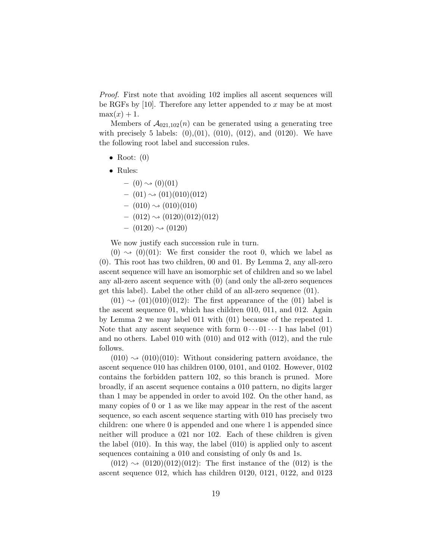Proof. First note that avoiding 102 implies all ascent sequences will be RGFs by  $[10]$ . Therefore any letter appended to x may be at most  $max(x) + 1$ .

Members of  $\mathcal{A}_{021,102}(n)$  can be generated using a generating tree with precisely 5 labels:  $(0), (01), (010), (012),$  and  $(0120)$ . We have the following root label and succession rules.

- Root:  $(0)$
- Rules:

 $-$  (0)  $\rightsquigarrow$  (0)(01)  $-$  (01)  $\rightsquigarrow$  (01)(010)(012)  $-$  (010)  $\rightsquigarrow$  (010)(010)  $-$  (012)  $\rightsquigarrow$  (0120)(012)(012)  $-$  (0120)  $\rightsquigarrow$  (0120)

We now justify each succession rule in turn.

 $(0) \rightsquigarrow (0)(01)$ : We first consider the root 0, which we label as (0). This root has two children, 00 and 01. By Lemma [2,](#page-17-2) any all-zero ascent sequence will have an isomorphic set of children and so we label any all-zero ascent sequence with (0) (and only the all-zero sequences get this label). Label the other child of an all-zero sequence (01).

 $(01) \rightarrow (01)(010)(012)$ : The first appearance of the  $(01)$  label is the ascent sequence 01, which has children 010, 011, and 012. Again by Lemma [2](#page-17-2) we may label 011 with (01) because of the repeated 1. Note that any ascent sequence with form  $0 \cdots 01 \cdots 1$  has label (01) and no others. Label 010 with (010) and 012 with (012), and the rule follows.

 $(010) \rightsquigarrow (010)(010)$ : Without considering pattern avoidance, the ascent sequence 010 has children 0100, 0101, and 0102. However, 0102 contains the forbidden pattern 102, so this branch is pruned. More broadly, if an ascent sequence contains a 010 pattern, no digits larger than 1 may be appended in order to avoid 102. On the other hand, as many copies of 0 or 1 as we like may appear in the rest of the ascent sequence, so each ascent sequence starting with 010 has precisely two children: one where 0 is appended and one where 1 is appended since neither will produce a 021 nor 102. Each of these children is given the label (010). In this way, the label (010) is applied only to ascent sequences containing a 010 and consisting of only 0s and 1s.

 $(012) \rightarrow (0120)(012)(012)$ : The first instance of the  $(012)$  is the ascent sequence 012, which has children 0120, 0121, 0122, and 0123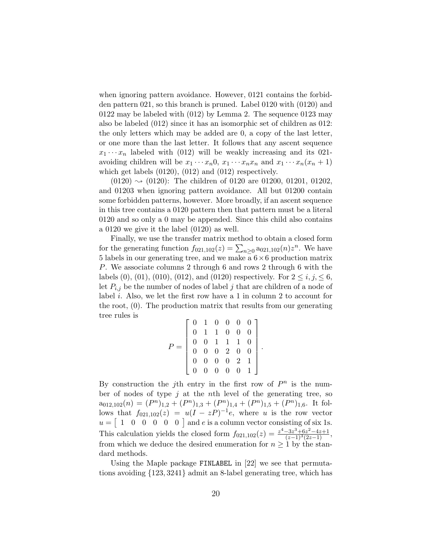when ignoring pattern avoidance. However, 0121 contains the forbidden pattern 021, so this branch is pruned. Label 0120 with (0120) and 0122 may be labeled with (012) by Lemma [2.](#page-17-2) The sequence 0123 may also be labeled (012) since it has an isomorphic set of children as 012: the only letters which may be added are 0, a copy of the last letter, or one more than the last letter. It follows that any ascent sequence  $x_1 \cdots x_n$  labeled with (012) will be weakly increasing and its 021avoiding children will be  $x_1 \cdots x_n 0$ ,  $x_1 \cdots x_n x_n$  and  $x_1 \cdots x_n (x_n + 1)$ which get labels (0120), (012) and (012) respectively.

 $(0120) \rightarrow (0120)$ : The children of 0120 are 01200, 01201, 01202, and 01203 when ignoring pattern avoidance. All but 01200 contain some forbidden patterns, however. More broadly, if an ascent sequence in this tree contains a 0120 pattern then that pattern must be a literal 0120 and so only a 0 may be appended. Since this child also contains a 0120 we give it the label (0120) as well.

Finally, we use the transfer matrix method to obtain a closed form for the generating function  $f_{021,102}(z) = \sum_{n\geq 0} a_{021,102}(n) z^n$ . We have 5 labels in our generating tree, and we make a  $6 \times 6$  production matrix P. We associate columns 2 through 6 and rows 2 through 6 with the labels (0), (01), (010), (012), and (0120) respectively. For  $2 \le i, j \le 6$ , let  $P_{i,j}$  be the number of nodes of label j that are children of a node of label i. Also, we let the first row have a 1 in column 2 to account for the root, (0). The production matrix that results from our generating tree rules is

$$
P = \left[ \begin{array}{rrrrr} 0 & 1 & 0 & 0 & 0 & 0 \\ 0 & 1 & 1 & 0 & 0 & 0 \\ 0 & 0 & 1 & 1 & 1 & 0 \\ 0 & 0 & 0 & 2 & 0 & 0 \\ 0 & 0 & 0 & 0 & 2 & 1 \\ 0 & 0 & 0 & 0 & 0 & 1 \end{array} \right]
$$

.

By construction the j<sup>th</sup> entry in the first row of  $P^n$  is the number of nodes of type  $j$  at the nth level of the generating tree, so  $a_{012,102}(n) = (P^n)_{1,2} + (P^n)_{1,3} + (P^n)_{1,4} + (P^n)_{1,5} + (P^n)_{1,6}$ . It follows that  $f_{021,102}(z) = u(I - zP)^{-1}e$ , where u is the row vector  $u = \begin{bmatrix} 1 & 0 & 0 & 0 & 0 & 0 \end{bmatrix}$  and e is a column vector consisting of six 1s. This calculation yields the closed form  $f_{021,102}(z) = \frac{z^4 - 3z^3 + 6z^2 - 4z + 1}{(z-1)^3(2z-1)}$ , from which we deduce the desired enumeration for  $n \geq 1$  by the standard methods.

Using the Maple package FINLABEL in [\[22\]](#page-28-4) we see that permutations avoiding {123, 3241} admit an 8-label generating tree, which has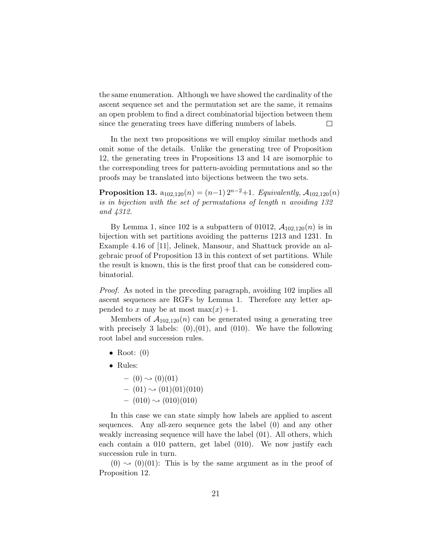the same enumeration. Although we have showed the cardinality of the ascent sequence set and the permutation set are the same, it remains an open problem to find a direct combinatorial bijection between them since the generating trees have differing numbers of labels.  $\Box$ 

In the next two propositions we will employ similar methods and omit some of the details. Unlike the generating tree of Proposition [12,](#page-17-0) the generating trees in Propositions [13](#page-20-0) and [14](#page-21-0) are isomorphic to the corresponding trees for pattern-avoiding permutations and so the proofs may be translated into bijections between the two sets.

<span id="page-20-0"></span>**Proposition 13.**  $a_{102,120}(n) = (n-1) 2^{n-2}+1$ . Equivalently,  $A_{102,120}(n)$ is in bijection with the set of permutations of length n avoiding 132 and 4312.

By Lemma [1,](#page-2-1) since 102 is a subpattern of 01012,  $A_{102,120}(n)$  is in bijection with set partitions avoiding the patterns 1213 and 1231. In Example 4.16 of [\[11\]](#page-27-11), Jelinek, Mansour, and Shattuck provide an algebraic proof of Proposition [13](#page-20-0) in this context of set partitions. While the result is known, this is the first proof that can be considered combinatorial.

Proof. As noted in the preceding paragraph, avoiding 102 implies all ascent sequences are RGFs by Lemma [1.](#page-2-1) Therefore any letter appended to x may be at most  $\max(x) + 1$ .

Members of  $A_{102,120}(n)$  can be generated using a generating tree with precisely 3 labels:  $(0),(01)$ , and  $(010)$ . We have the following root label and succession rules.

- Root:  $(0)$
- Rules:
	- $-$  (0)  $\rightsquigarrow$  (0)(01)  $-$  (01)  $\rightsquigarrow$  (01)(01)(010)  $-$  (010)  $\rightsquigarrow$  (010)(010)

In this case we can state simply how labels are applied to ascent sequences. Any all-zero sequence gets the label (0) and any other weakly increasing sequence will have the label (01). All others, which each contain a 010 pattern, get label (010). We now justify each succession rule in turn.

 $(0) \rightarrow (0)(01)$ : This is by the same argument as in the proof of Proposition [12.](#page-17-0)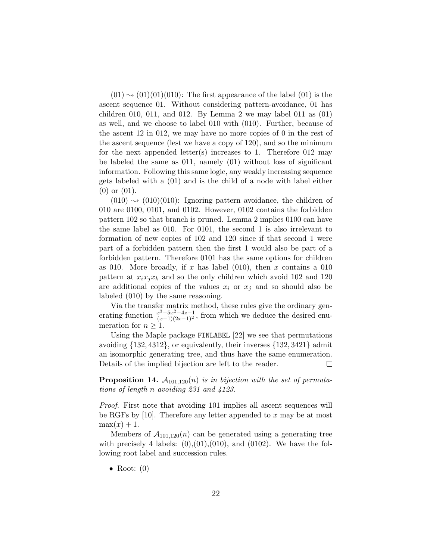$(01) \rightarrow (01)(01)(010)$ : The first appearance of the label  $(01)$  is the ascent sequence 01. Without considering pattern-avoidance, 01 has children 010, 011, and 01[2](#page-17-2). By Lemma 2 we may label 011 as  $(01)$ as well, and we choose to label 010 with (010). Further, because of the ascent 12 in 012, we may have no more copies of 0 in the rest of the ascent sequence (lest we have a copy of 120), and so the minimum for the next appended letter(s) increases to 1. Therefore 012 may be labeled the same as 011, namely (01) without loss of significant information. Following this same logic, any weakly increasing sequence gets labeled with a (01) and is the child of a node with label either (0) or (01).

 $(010) \rightarrow (010)(010)$ : Ignoring pattern avoidance, the children of 010 are 0100, 0101, and 0102. However, 0102 contains the forbidden pattern 102 so that branch is pruned. Lemma [2](#page-17-2) implies 0100 can have the same label as 010. For 0101, the second 1 is also irrelevant to formation of new copies of 102 and 120 since if that second 1 were part of a forbidden pattern then the first 1 would also be part of a forbidden pattern. Therefore 0101 has the same options for children as 010. More broadly, if x has label  $(010)$ , then x contains a 010 pattern at  $x_i x_j x_k$  and so the only children which avoid 102 and 120 are additional copies of the values  $x_i$  or  $x_j$  and so should also be labeled (010) by the same reasoning.

Via the transfer matrix method, these rules give the ordinary generating function  $\frac{x^3-5x^2+4z-1}{(x-1)(2x-1)^2}$ , from which we deduce the desired enumeration for  $n \geq 1$ .

Using the Maple package FINLABEL [\[22\]](#page-28-4) we see that permutations avoiding  $\{132, 4312\}$ , or equivalently, their inverses  $\{132, 3421\}$  admit an isomorphic generating tree, and thus have the same enumeration. Details of the implied bijection are left to the reader.  $\Box$ 

<span id="page-21-0"></span>**Proposition 14.**  $A_{101,120}(n)$  is in bijection with the set of permutations of length n avoiding 231 and 4123.

Proof. First note that avoiding 101 implies all ascent sequences will be RGFs by [\[10\]](#page-27-6). Therefore any letter appended to x may be at most  $max(x) + 1$ .

Members of  $A_{101,120}(n)$  can be generated using a generating tree with precisely 4 labels:  $(0), (01), (010),$  and  $(0102)$ . We have the following root label and succession rules.

• Root:  $(0)$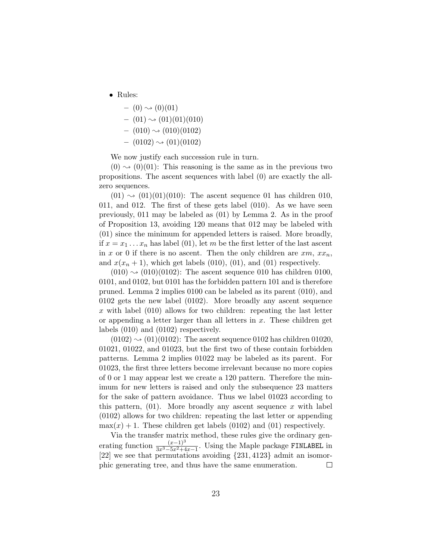• Rules:

$$
- (0) \rightsquigarrow (0)(01) - (01) \rightsquigarrow (01)(01)(010) - (010) \rightsquigarrow (010)(0102)
$$

 $-$  (0102)  $\rightsquigarrow$  (01)(0102)

We now justify each succession rule in turn.

 $(0) \rightsquigarrow (0)(01)$ : This reasoning is the same as in the previous two propositions. The ascent sequences with label (0) are exactly the allzero sequences.

 $(01) \rightarrow (01)(01)(010)$ : The ascent sequence 01 has children 010, 011, and 012. The first of these gets label (010). As we have seen previously, 011 may be labeled as (01) by Lemma [2.](#page-17-2) As in the proof of Proposition [13,](#page-20-0) avoiding 120 means that 012 may be labeled with (01) since the minimum for appended letters is raised. More broadly, if  $x = x_1 \ldots x_n$  has label (01), let m be the first letter of the last ascent in x or 0 if there is no ascent. Then the only children are  $xm, xx_n$ , and  $x(x_n + 1)$ , which get labels (010), (01), and (01) respectively.

 $(010) \rightarrow (010)(0102)$ : The ascent sequence 010 has children 0100, 0101, and 0102, but 0101 has the forbidden pattern 101 and is therefore pruned. Lemma [2](#page-17-2) implies 0100 can be labeled as its parent (010), and 0102 gets the new label (0102). More broadly any ascent sequence x with label  $(010)$  allows for two children: repeating the last letter or appending a letter larger than all letters in  $x$ . These children get labels (010) and (0102) respectively.

 $(0102) \rightarrow (01)(0102)$ : The ascent sequence 0102 has children 01020, 01021, 01022, and 01023, but the first two of these contain forbidden patterns. Lemma [2](#page-17-2) implies 01022 may be labeled as its parent. For 01023, the first three letters become irrelevant because no more copies of 0 or 1 may appear lest we create a 120 pattern. Therefore the minimum for new letters is raised and only the subsequence 23 matters for the sake of pattern avoidance. Thus we label 01023 according to this pattern,  $(01)$ . More broadly any ascent sequence x with label (0102) allows for two children: repeating the last letter or appending  $\max(x) + 1$ . These children get labels (0102) and (01) respectively.

Via the transfer matrix method, these rules give the ordinary generating function  $\frac{(x-1)^3}{3x^3-5x^2+4x-1}$ . Using the Maple package FINLABEL in [\[22\]](#page-28-4) we see that permutations avoiding {231, 4123} admit an isomorphic generating tree, and thus have the same enumeration.  $\Box$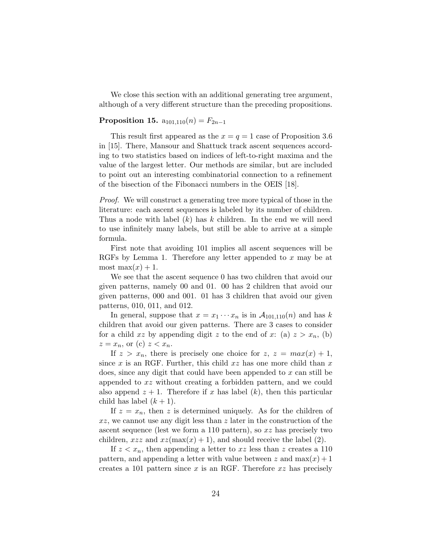We close this section with an additional generating tree argument, although of a very different structure than the preceding propositions.

### <span id="page-23-0"></span>Proposition 15.  $a_{101,110}(n) = F_{2n-1}$

This result first appeared as the  $x = q = 1$  case of Proposition 3.6 in [\[15\]](#page-28-6). There, Mansour and Shattuck track ascent sequences according to two statistics based on indices of left-to-right maxima and the value of the largest letter. Our methods are similar, but are included to point out an interesting combinatorial connection to a refinement of the bisection of the Fibonacci numbers in the OEIS [\[18\]](#page-28-0).

Proof. We will construct a generating tree more typical of those in the literature: each ascent sequences is labeled by its number of children. Thus a node with label  $(k)$  has k children. In the end we will need to use infinitely many labels, but still be able to arrive at a simple formula.

First note that avoiding 101 implies all ascent sequences will be RGFs by Lemma [1.](#page-2-1) Therefore any letter appended to x may be at most max $(x) + 1$ .

We see that the ascent sequence 0 has two children that avoid our given patterns, namely 00 and 01. 00 has 2 children that avoid our given patterns, 000 and 001. 01 has 3 children that avoid our given patterns, 010, 011, and 012.

In general, suppose that  $x = x_1 \cdots x_n$  is in  $\mathcal{A}_{101,110}(n)$  and has k children that avoid our given patterns. There are 3 cases to consider for a child xz by appending digit z to the end of x: (a)  $z > x_n$ , (b)  $z = x_n$ , or (c)  $z < x_n$ .

If  $z > x_n$ , there is precisely one choice for  $z, z = max(x) + 1$ , since x is an RGF. Further, this child  $xz$  has one more child than x does, since any digit that could have been appended to x can still be appended to xz without creating a forbidden pattern, and we could also append  $z + 1$ . Therefore if x has label  $(k)$ , then this particular child has label  $(k+1)$ .

If  $z = x_n$ , then z is determined uniquely. As for the children of  $xz$ , we cannot use any digit less than  $z$  later in the construction of the ascent sequence (lest we form a 110 pattern), so  $xz$  has precisely two children,  $xzz$  and  $xz(\max(x) + 1)$ , and should receive the label (2).

If  $z < x_n$ , then appending a letter to xz less than z creates a 110 pattern, and appending a letter with value between z and  $max(x) + 1$ creates a 101 pattern since x is an RGF. Therefore  $xz$  has precisely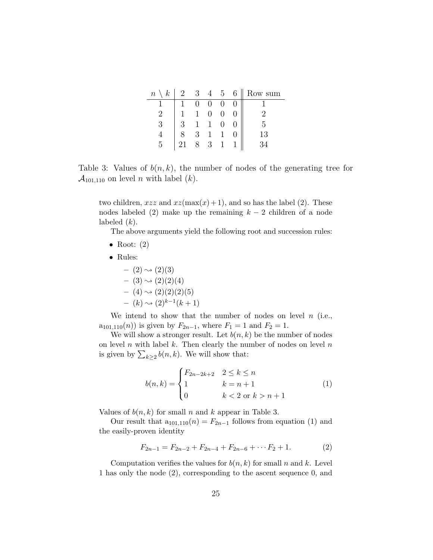|   |                                                                                                                                                   |  |  | $n \setminus k$   2 3 4 5 6    Row sum |
|---|---------------------------------------------------------------------------------------------------------------------------------------------------|--|--|----------------------------------------|
|   |                                                                                                                                                   |  |  |                                        |
|   |                                                                                                                                                   |  |  |                                        |
| 3 |                                                                                                                                                   |  |  | 5                                      |
|   |                                                                                                                                                   |  |  | 13                                     |
| 5 | $\begin{array}{cccccc} \hline 1 & 0 & 0 & 0 & 0 \\ 1 & 1 & 0 & 0 & 0 \\ 3 & 1 & 1 & 0 & 0 \\ 8 & 3 & 1 & 1 & 0 \\ 21 & 8 & 3 & 1 & 1 \end{array}$ |  |  |                                        |

<span id="page-24-0"></span>Table 3: Values of  $b(n, k)$ , the number of nodes of the generating tree for  $\mathcal{A}_{101,110}$  on level *n* with label (*k*).

two children,  $xzz$  and  $xz(\max(x)+1)$ , and so has the label (2). These nodes labeled (2) make up the remaining  $k-2$  children of a node labeled  $(k)$ .

The above arguments yield the following root and succession rules:

- Root:  $(2)$
- Rules:
	- $(2) \rightsquigarrow (2)(3)$  $-$  (3)  $\rightsquigarrow$  (2)(2)(4)  $-$  (4)  $\rightsquigarrow$  (2)(2)(2)(5)  $- (k) \rightsquigarrow (2)^{k-1}(k+1)$

We intend to show that the number of nodes on level  $n$  (i.e.,  $a_{101,110}(n)$  is given by  $F_{2n-1}$ , where  $F_1 = 1$  and  $F_2 = 1$ .

We will show a stronger result. Let  $b(n, k)$  be the number of nodes on level  $n$  with label  $k$ . Then clearly the number of nodes on level  $n$ is given by  $\sum_{k\geq 2} b(n,k)$ . We will show that:

<span id="page-24-1"></span>
$$
b(n,k) = \begin{cases} F_{2n-2k+2} & 2 \le k \le n \\ 1 & k = n+1 \\ 0 & k < 2 \text{ or } k > n+1 \end{cases}
$$
 (1)

Values of  $b(n, k)$  for small n and k appear in Table [3.](#page-24-0)

Our result that  $a_{101,110}(n) = F_{2n-1}$  follows from equation [\(1\)](#page-24-1) and the easily-proven identity

$$
F_{2n-1} = F_{2n-2} + F_{2n-4} + F_{2n-6} + \cdots F_2 + 1.
$$
 (2)

Computation verifies the values for  $b(n, k)$  for small n and k. Level 1 has only the node (2), corresponding to the ascent sequence 0, and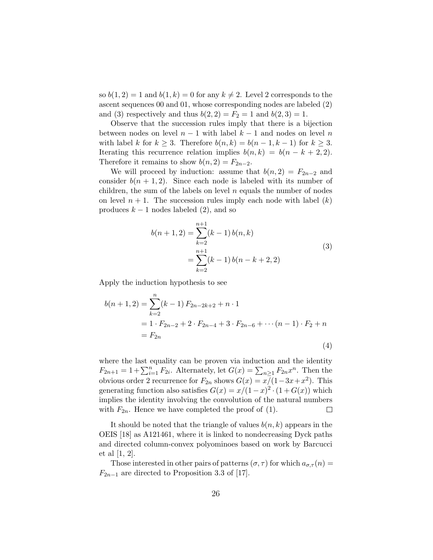so  $b(1, 2) = 1$  and  $b(1, k) = 0$  for any  $k \neq 2$ . Level 2 corresponds to the ascent sequences 00 and 01, whose corresponding nodes are labeled (2) and (3) respectively and thus  $b(2, 2) = F_2 = 1$  and  $b(2, 3) = 1$ .

Observe that the succession rules imply that there is a bijection between nodes on level  $n-1$  with label  $k-1$  and nodes on level n with label k for  $k \geq 3$ . Therefore  $b(n, k) = b(n-1, k-1)$  for  $k \geq 3$ . Iterating this recurrence relation implies  $b(n, k) = b(n - k + 2, 2)$ . Therefore it remains to show  $b(n, 2) = F_{2n-2}$ .

We will proceed by induction: assume that  $b(n, 2) = F_{2n-2}$  and consider  $b(n + 1, 2)$ . Since each node is labeled with its number of children, the sum of the labels on level  $n$  equals the number of nodes on level  $n + 1$ . The succession rules imply each node with label  $(k)$ produces  $k - 1$  nodes labeled (2), and so

$$
b(n+1,2) = \sum_{k=2}^{n+1} (k-1) b(n,k)
$$
  
= 
$$
\sum_{k=2}^{n+1} (k-1) b(n-k+2,2)
$$
 (3)

Apply the induction hypothesis to see

$$
b(n+1,2) = \sum_{k=2}^{n} (k-1) F_{2n-2k+2} + n \cdot 1
$$
  
= 1 \cdot F\_{2n-2} + 2 \cdot F\_{2n-4} + 3 \cdot F\_{2n-6} + \cdots (n-1) \cdot F\_2 + n  
= F\_{2n} (4)

where the last equality can be proven via induction and the identity  $F_{2n+1} = 1 + \sum_{i=1}^{n} F_{2i}$ . Alternately, let  $G(x) = \sum_{n \geq 1} F_{2n} x^n$ . Then the obvious order 2 recurrence for  $F_{2n}$  shows  $G(x) = x/(1-3x+x^2)$ . This generating function also satisfies  $G(x) = x/(1-x)^2 \cdot (1+G(x))$  which implies the identity involving the convolution of the natural numbers with  $F_{2n}$ . Hence we have completed the proof of [\(1\)](#page-24-1). □

It should be noted that the triangle of values  $b(n, k)$  appears in the OEIS [\[18\]](#page-28-0) as A121461, where it is linked to nondecreasing Dyck paths and directed column-convex polyominoes based on work by Barcucci et al [\[1,](#page-26-1) [2\]](#page-27-12).

Those interested in other pairs of patterns  $(\sigma, \tau)$  for which  $a_{\sigma,\tau}(n) =$  $F_{2n-1}$  are directed to Proposition 3.3 of [\[17\]](#page-28-2).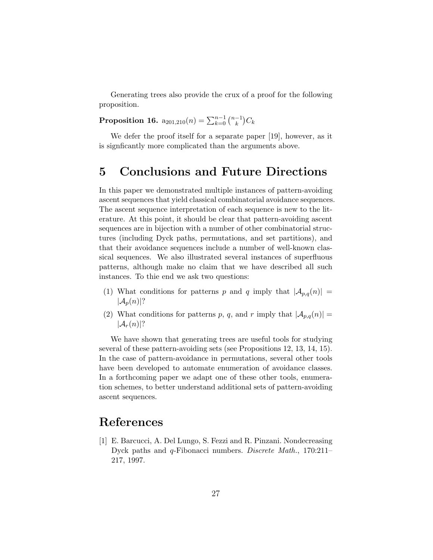Generating trees also provide the crux of a proof for the following proposition.

<span id="page-26-0"></span>Proposition 16.  $a_{201,210}(n) = \sum_{k=0}^{n-1} \binom{n-1}{k}$  $\binom{-1}{k}C_k$ 

We defer the proof itself for a separate paper [\[19\]](#page-28-7), however, as it is signficantly more complicated than the arguments above.

## 5 Conclusions and Future Directions

In this paper we demonstrated multiple instances of pattern-avoiding ascent sequences that yield classical combinatorial avoidance sequences. The ascent sequence interpretation of each sequence is new to the literature. At this point, it should be clear that pattern-avoiding ascent sequences are in bijection with a number of other combinatorial structures (including Dyck paths, permutations, and set partitions), and that their avoidance sequences include a number of well-known classical sequences. We also illustrated several instances of superfluous patterns, although make no claim that we have described all such instances. To thie end we ask two questions:

- (1) What conditions for patterns p and q imply that  $|A_{p,q}(n)| =$  $|\mathcal{A}_p(n)|$ ?
- (2) What conditions for patterns p, q, and r imply that  $|\mathcal{A}_{p,q}(n)| =$  $|\mathcal{A}_r(n)|$ ?

We have shown that generating trees are useful tools for studying several of these pattern-avoiding sets (see Propositions [12,](#page-17-0) [13,](#page-20-0) [14,](#page-21-0) [15\)](#page-23-0). In the case of pattern-avoidance in permutations, several other tools have been developed to automate enumeration of avoidance classes. In a forthcoming paper we adapt one of these other tools, enumeration schemes, to better understand additional sets of pattern-avoiding ascent sequences.

# References

<span id="page-26-1"></span>[1] E. Barcucci, A. Del Lungo, S. Fezzi and R. Pinzani. Nondecreasing Dyck paths and q-Fibonacci numbers. Discrete Math., 170:211– 217, 1997.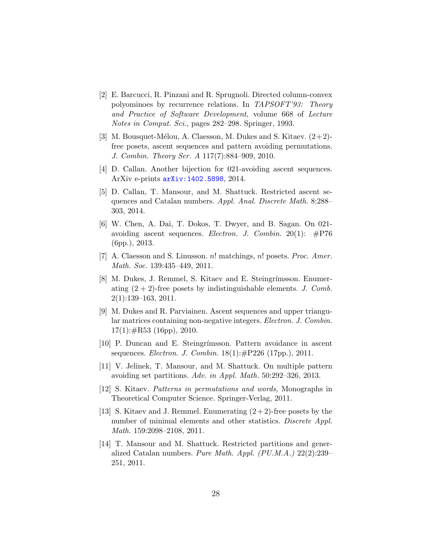- <span id="page-27-12"></span>[2] E. Barcucci, R. Pinzani and R. Sprugnoli. Directed column-convex polyominoes by recurrence relations. In TAPSOFT'93: Theory and Practice of Software Development, volume 668 of Lecture Notes in Comput. Sci., pages 282–298. Springer, 1993.
- <span id="page-27-0"></span>[3] M. Bousquet-Mélou, A. Claesson, M. Dukes and S. Kitaev.  $(2+2)$ free posets, ascent sequences and pattern avoiding permutations. J. Combin. Theory Ser. A 117(7):884–909, 2010.
- <span id="page-27-8"></span>[4] D. Callan. Another bijection for 021-avoiding ascent sequences. ArXiv e-prints [arXiv:1402.5898](http://arxiv.org/abs/1402.5898), 2014.
- <span id="page-27-9"></span>[5] D. Callan, T. Mansour, and M. Shattuck. Restricted ascent sequences and Catalan numbers. Appl. Anal. Discrete Math. 8:288– 303, 2014.
- <span id="page-27-7"></span>[6] W. Chen, A. Dai, T. Dokos, T. Dwyer, and B. Sagan. On 021 avoiding ascent sequences. Electron. J. Combin. 20(1): #P76 (6pp.), 2013.
- <span id="page-27-1"></span>[7] A. Claesson and S. Linusson. n! matchings, n! posets. Proc. Amer. Math. Soc. 139:435–449, 2011.
- <span id="page-27-2"></span>[8] M. Dukes, J. Remmel, S. Kitaev and E. Steingrímsson. Enumerating  $(2 + 2)$ -free posets by indistinguishable elements. J. Comb.  $2(1):139-163, 2011.$
- <span id="page-27-3"></span>[9] M. Dukes and R. Parviainen. Ascent sequences and upper triangular matrices containing non-negative integers. Electron. J. Combin.  $17(1): \#R53$  (16pp), 2010.
- <span id="page-27-6"></span>[10] P. Duncan and E. Steingrímsson. Pattern avoidance in ascent sequences. Electron. J. Combin. 18(1):#P226 (17pp.), 2011.
- <span id="page-27-11"></span>[11] V. Jelinek, T. Mansour, and M. Shattuck. On multiple pattern avoiding set partitions. Adv. in Appl. Math. 50:292–326, 2013.
- <span id="page-27-5"></span>[12] S. Kitaev. Patterns in permutations and words, Monographs in Theoretical Computer Science. Springer-Verlag, 2011.
- <span id="page-27-4"></span>[13] S. Kitaev and J. Remmel. Enumerating  $(2+2)$ -free posets by the number of minimal elements and other statistics. Discrete Appl. Math. 159:2098–2108, 2011.
- <span id="page-27-10"></span>[14] T. Mansour and M. Shattuck. Restricted partitions and generalized Catalan numbers. Pure Math. Appl. (PU.M.A.) 22(2):239– 251, 2011.